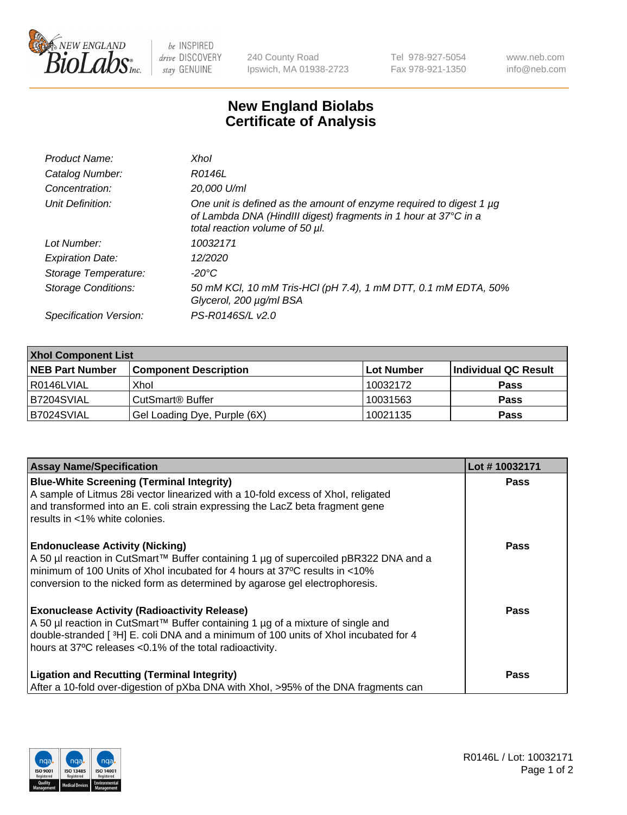

 $be$  INSPIRED drive DISCOVERY stay GENUINE

240 County Road Ipswich, MA 01938-2723 Tel 978-927-5054 Fax 978-921-1350 www.neb.com info@neb.com

## **New England Biolabs Certificate of Analysis**

| Product Name:              | Xhol                                                                                                                                                                      |
|----------------------------|---------------------------------------------------------------------------------------------------------------------------------------------------------------------------|
| Catalog Number:            | R0146L                                                                                                                                                                    |
| Concentration:             | 20,000 U/ml                                                                                                                                                               |
| Unit Definition:           | One unit is defined as the amount of enzyme required to digest 1 µg<br>of Lambda DNA (HindIII digest) fragments in 1 hour at 37°C in a<br>total reaction volume of 50 µl. |
| Lot Number:                | 10032171                                                                                                                                                                  |
| <b>Expiration Date:</b>    | 12/2020                                                                                                                                                                   |
| Storage Temperature:       | -20°C                                                                                                                                                                     |
| <b>Storage Conditions:</b> | 50 mM KCl, 10 mM Tris-HCl (pH 7.4), 1 mM DTT, 0.1 mM EDTA, 50%<br>Glycerol, 200 µg/ml BSA                                                                                 |
| Specification Version:     | PS-R0146S/L v2.0                                                                                                                                                          |

| <b>Xhol Component List</b> |                              |             |                      |  |  |
|----------------------------|------------------------------|-------------|----------------------|--|--|
| <b>NEB Part Number</b>     | <b>Component Description</b> | ∣Lot Number | Individual QC Result |  |  |
| R0146LVIAL                 | Xhol                         | 10032172    | <b>Pass</b>          |  |  |
| B7204SVIAL                 | CutSmart® Buffer             | 10031563    | <b>Pass</b>          |  |  |
| B7024SVIAL                 | Gel Loading Dye, Purple (6X) | 10021135    | <b>Pass</b>          |  |  |

| <b>Assay Name/Specification</b>                                                                                                                                                                                                                                                             | Lot #10032171 |
|---------------------------------------------------------------------------------------------------------------------------------------------------------------------------------------------------------------------------------------------------------------------------------------------|---------------|
| <b>Blue-White Screening (Terminal Integrity)</b><br>A sample of Litmus 28i vector linearized with a 10-fold excess of Xhol, religated<br>and transformed into an E. coli strain expressing the LacZ beta fragment gene<br>results in <1% white colonies.                                    | <b>Pass</b>   |
| <b>Endonuclease Activity (Nicking)</b><br>A 50 µl reaction in CutSmart™ Buffer containing 1 µg of supercoiled pBR322 DNA and a<br>minimum of 100 Units of Xhol incubated for 4 hours at 37°C results in <10%<br>conversion to the nicked form as determined by agarose gel electrophoresis. | <b>Pass</b>   |
| <b>Exonuclease Activity (Radioactivity Release)</b><br>A 50 µl reaction in CutSmart™ Buffer containing 1 µg of a mixture of single and<br>double-stranded [3H] E. coli DNA and a minimum of 100 units of Xhol incubated for 4<br>hours at 37°C releases <0.1% of the total radioactivity.   | Pass          |
| <b>Ligation and Recutting (Terminal Integrity)</b><br>After a 10-fold over-digestion of pXba DNA with Xhol, >95% of the DNA fragments can                                                                                                                                                   | <b>Pass</b>   |